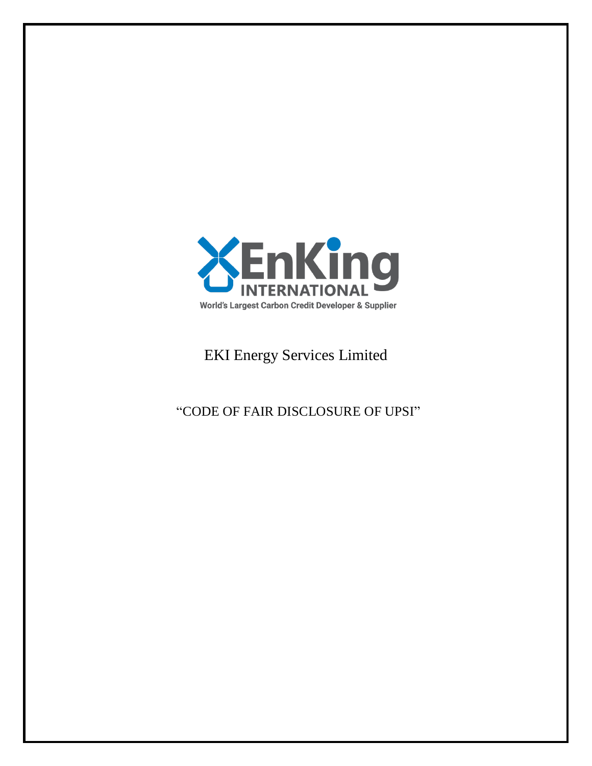

# EKI Energy Services Limited

"CODE OF FAIR DISCLOSURE OF UPSI"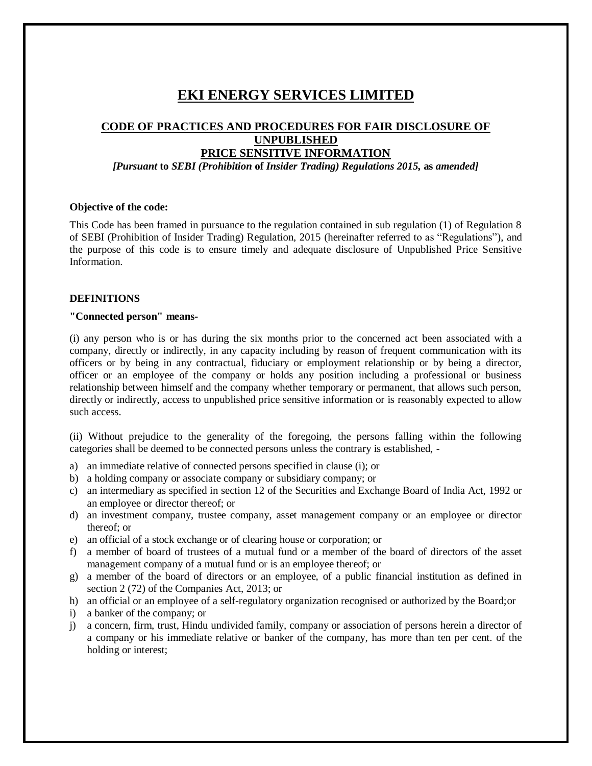## **EKI ENERGY SERVICES LIMITED**

### **CODE OF PRACTICES AND PROCEDURES FOR FAIR DISCLOSURE OF UNPUBLISHED PRICE SENSITIVE INFORMATION**

*[Pursuant* **to** *SEBI (Prohibition* **of** *Insider Trading) Regulations 2015,* **as** *amended]*

#### **Objective of the code:**

This Code has been framed in pursuance to the regulation contained in sub regulation (1) of Regulation 8 of SEBI (Prohibition of Insider Trading) Regulation, 2015 (hereinafter referred to as "Regulations"), and the purpose of this code is to ensure timely and adequate disclosure of Unpublished Price Sensitive Information.

#### **DEFINITIONS**

#### **"Connected person" means-**

(i) any person who is or has during the six months prior to the concerned act been associated with a company, directly or indirectly, in any capacity including by reason of frequent communication with its officers or by being in any contractual, fiduciary or employment relationship or by being a director, officer or an employee of the company or holds any position including a professional or business relationship between himself and the company whether temporary or permanent, that allows such person, directly or indirectly, access to unpublished price sensitive information or is reasonably expected to allow such access.

(ii) Without prejudice to the generality of the foregoing, the persons falling within the following categories shall be deemed to be connected persons unless the contrary is established, -

- a) an immediate relative of connected persons specified in clause (i); or
- b) a holding company or associate company or subsidiary company; or
- c) an intermediary as specified in section 12 of the Securities and Exchange Board of India Act, 1992 or an employee or director thereof; or
- d) an investment company, trustee company, asset management company or an employee or director thereof; or
- e) an official of a stock exchange or of clearing house or corporation; or
- f) a member of board of trustees of a mutual fund or a member of the board of directors of the asset management company of a mutual fund or is an employee thereof; or
- g) a member of the board of directors or an employee, of a public financial institution as defined in section 2 (72) of the Companies Act, 2013; or
- h) an official or an employee of a self-regulatory organization recognised or authorized by the Board;or
- i) a banker of the company; or
- j) a concern, firm, trust, Hindu undivided family, company or association of persons herein a director of a company or his immediate relative or banker of the company, has more than ten per cent. of the holding or interest;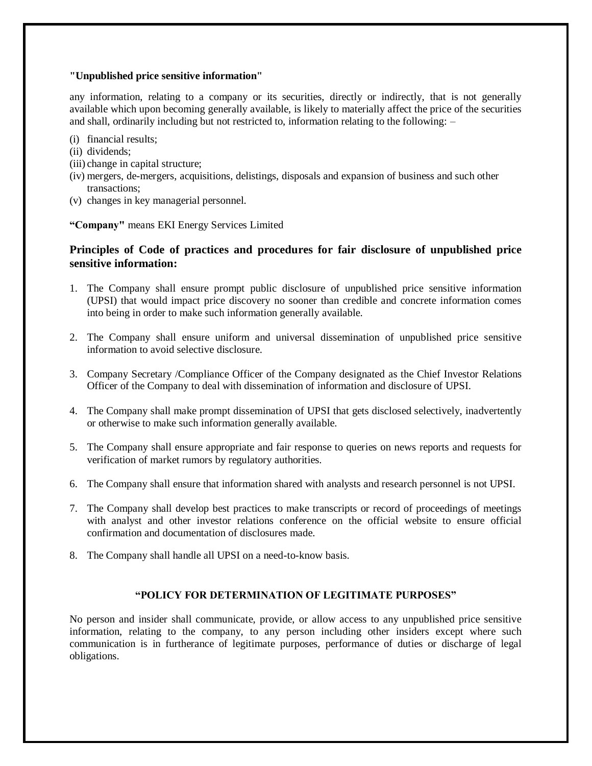#### **"Unpublished price sensitive information"**

any information, relating to a company or its securities, directly or indirectly, that is not generally available which upon becoming generally available, is likely to materially affect the price of the securities and shall, ordinarily including but not restricted to, information relating to the following: –

- (i) financial results;
- (ii) dividends;
- (iii) change in capital structure;
- (iv) mergers, de-mergers, acquisitions, delistings, disposals and expansion of business and such other transactions;
- (v) changes in key managerial personnel.

**"Company"** means EKI Energy Services Limited

#### **Principles of Code of practices and procedures for fair disclosure of unpublished price sensitive information:**

- 1. The Company shall ensure prompt public disclosure of unpublished price sensitive information (UPSI) that would impact price discovery no sooner than credible and concrete information comes into being in order to make such information generally available.
- 2. The Company shall ensure uniform and universal dissemination of unpublished price sensitive information to avoid selective disclosure.
- 3. Company Secretary /Compliance Officer of the Company designated as the Chief Investor Relations Officer of the Company to deal with dissemination of information and disclosure of UPSI.
- 4. The Company shall make prompt dissemination of UPSI that gets disclosed selectively, inadvertently or otherwise to make such information generally available.
- 5. The Company shall ensure appropriate and fair response to queries on news reports and requests for verification of market rumors by regulatory authorities.
- 6. The Company shall ensure that information shared with analysts and research personnel is not UPSI.
- 7. The Company shall develop best practices to make transcripts or record of proceedings of meetings with analyst and other investor relations conference on the official website to ensure official confirmation and documentation of disclosures made.
- 8. The Company shall handle all UPSI on a need-to-know basis.

#### **"POLICY FOR DETERMINATION OF LEGITIMATE PURPOSES"**

No person and insider shall communicate, provide, or allow access to any unpublished price sensitive information, relating to the company, to any person including other insiders except where such communication is in furtherance of legitimate purposes, performance of duties or discharge of legal obligations.